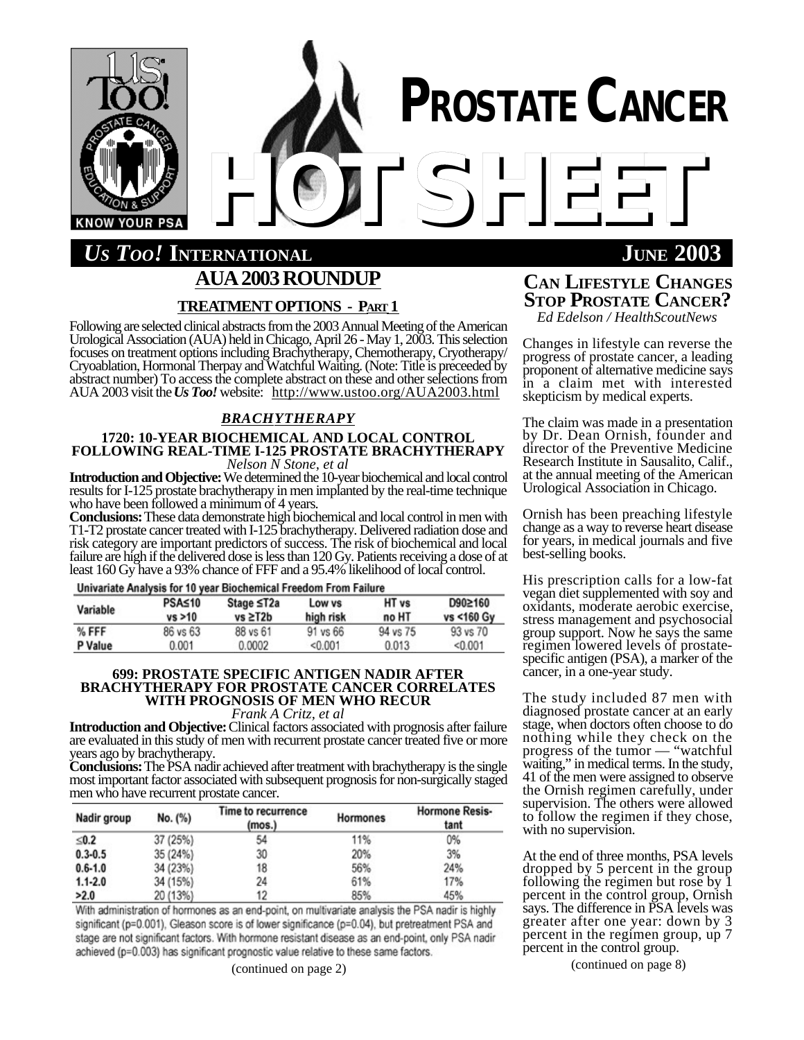

# *US TOO!* **INTERNATIONAL JUNE 2003 AUA2003ROUNDUP TREATMENTOPTIONS - PART 1**

Following are selected clinical abstracts from the 2003 Annual Meeting of the American Urological Association (AUA) held in Chicago, April 26 - May 1, 2003. This selection focuses on treatment options including Brachytherapy, Chemotherapy, Cryotherapy/ Cryoablation, Hormonal Therpay and Watchful Waiting. (Note: Title is preceeded by abstract number) To access the complete abstract on these and other selections from AUA 2003 visit the *Us Too!* website: http://www.ustoo.org/AUA2003.html

## *BRACHYTHERAPY*

## **1720: 10-YEAR BIOCHEMICAL AND LOCAL CONTROL FOLLOWING REAL-TIME I-125 PROSTATE BRACHYTHERAPY** *Nelson N Stone, et al*

**Introduction and Objective:** We determined the 10-year biochemical and local control results for I-125 prostate brachytherapy in men implanted by the real-time technique who have been followed a minimum of 4 years.

**Conclusions:** These data demonstrate high biochemical and local control in men with T1-T2 prostate cancer treated with I-125 brachytherapy. Delivered radiation dose and risk category are important predictors of success. The risk of biochemical and local failure are high if the delivered dose is less than 120 Gy. Patients receiving a dose of at least 160 Gy have a 93% chance of FFF and a 95.4% likelihood of local control.

## Univariate Analysis for 10 year Biochemical Freedom From Failure

| Variable | PSA≤10<br>vs > 10 | Stage ≤T2a<br>$vs \geq T2b$ | Low vs<br>high risk | HT vs<br>no HT | D90≥160<br>vs <160 Gy |
|----------|-------------------|-----------------------------|---------------------|----------------|-----------------------|
| % FFF    | 86 vs 63          | 88 vs 61                    | 91 vs 66            | 94 vs 75       | 93 vs 70              |
| P Value  | 0.001             | 0.0002                      | < 0.001             | 0.013          | < 0.001               |

## **699: PROSTATE SPECIFIC ANTIGEN NADIR AFTER BRACHYTHERAPY FOR PROSTATE CANCER CORRELATES WITH PROGNOSIS OF MEN WHO RECUR**

*Frank A Critz, et al*

**Introduction and Objective:** Clinical factors associated with prognosis after failure are evaluated in this study of men with recurrent prostate cancer treated five or more years ago by brachytherapy.

**Conclusions:** The PSA nadir achieved after treatment with brachytherapy is the single most important factor associated with subsequent prognosis for non-surgically staged men who have recurrent prostate cancer.

| Nadir group | No. (%)  | Time to recurrence<br>(mos.) | Hormones | <b>Hormone Resis-</b><br>tant |  |
|-------------|----------|------------------------------|----------|-------------------------------|--|
| $\leq 0.2$  | 37 (25%) | 54                           | 11%      | 0%                            |  |
| $0.3 - 0.5$ | 35(24%)  | 30                           | 20%      | 3%                            |  |
| $0.6 - 1.0$ | 34 (23%) | 18                           | 56%      | 24%                           |  |
| $1.1 - 2.0$ | 34 (15%) | 24                           | 61%      | 17%                           |  |
| >2.0        | 20 (13%) | 12                           | 85%      | 45%                           |  |

With administration of hormones as an end-point, on multivariate analysis the PSA nadir is highly significant (p=0.001), Gleason score is of lower significance (p=0.04), but pretreatment PSA and stage are not significant factors. With hormone resistant disease as an end-point, only PSA nadir achieved (p=0.003) has significant prognostic value relative to these same factors.

# **CAN LIFESTYLE CHANGES STOP PROSTATE CANCER?**

*Ed Edelson / HealthScoutNews*

Changes in lifestyle can reverse the progress of prostate cancer, a leading proponent of alternative medicine says in a claim met with interested skepticism by medical experts.

The claim was made in a presentation by Dr. Dean Ornish, founder and director of the Preventive Medicine Research Institute in Sausalito, Calif., at the annual meeting of the American Urological Association in Chicago.

Ornish has been preaching lifestyle change as a way to reverse heart disease for years, in medical journals and five best-selling books.

His prescription calls for a low-fat vegan diet supplemented with soy and oxidants, moderate aerobic exercise, stress management and psychosocial group support. Now he says the same regimen lowered levels of prostatespecific antigen (PSA), a marker of the cancer, in a one-year study.

The study included 87 men with diagnosed prostate cancer at an early stage, when doctors often choose to do nothing while they check on the progress of the tumor — "watchful waiting," in medical terms. In the study, 41 of the men were assigned to observe the Ornish regimen carefully, under supervision. The others were allowed to follow the regimen if they chose, with no supervision.

At the end of three months, PSA levels dropped by 5 percent in the group following the regimen but rose by 1 percent in the control group, Ornish says. The difference in PSA levels was greater after one year: down by 3 percent in the regimen group, up 7 percent in the control group.

(continued on page 8)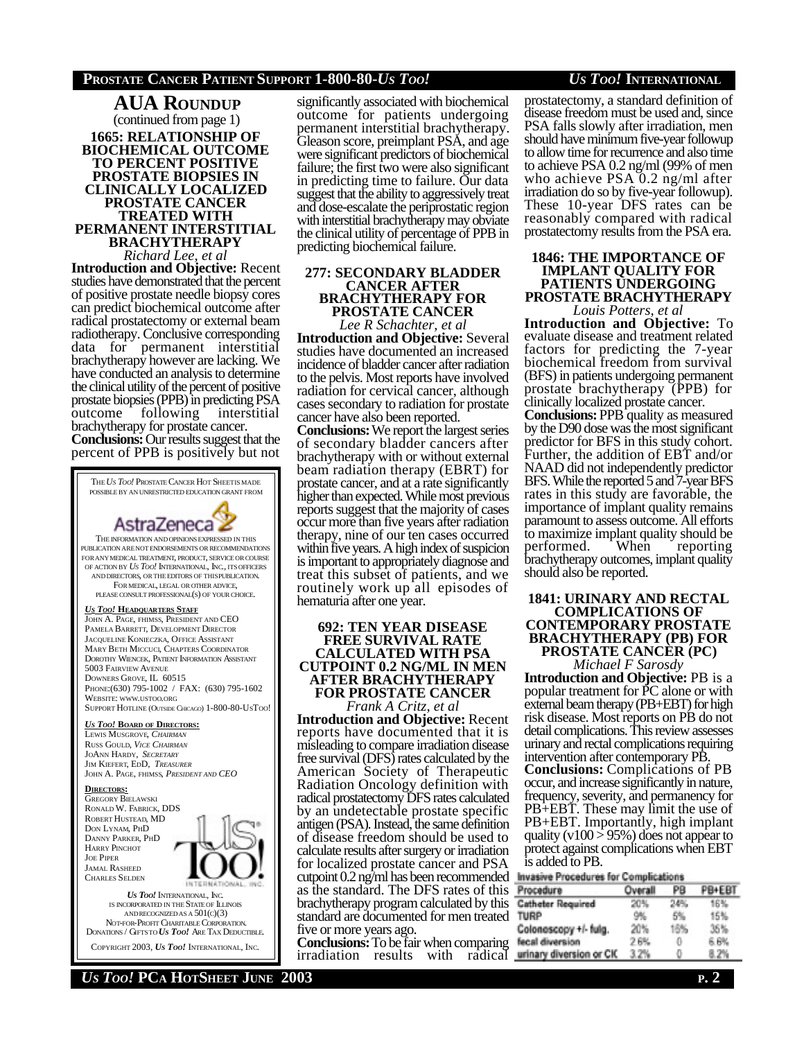## **1665: RELATIONSHIP OF BIOCHEMICAL OUTCOME TO PERCENT POSITIVE PROSTATE BIOPSIES IN CLINICALLY LOCALIZED PROSTATE CANCER TREATED WITH PERMANENT INTERSTITIAL BRACHYTHERAPY** *Richard Lee, et al* **AUA ROUNDUP** (continued from page 1)

**Introduction and Objective:** Recent studies have demonstrated that the percent of positive prostate needle biopsy cores can predict biochemical outcome after radical prostatectomy or external beam radiotherapy. Conclusive corresponding data for permanent interstitial brachytherapy however are lacking. We have conducted an analysis to determine the clinical utility of the percent of positive prostate biopsies (PPB) in predicting PSA outcome following interstitial brachytherapy for prostate cancer.

**Conclusions:** Our results suggest that the percent of PPB is positively but not



IS INCORPORATED IN THE STATEOF ILLINOIS ANDRECOGNIZEDAS A 501(C)(3) NOT-FOR-PROFIT CHARITABLE CORPORATION. DONATIONS / GIFTSTO *US TOO!* ARE TAX DEDUCTIBLE. COPYRIGHT 2003, *US TOO!* INTERNATIONAL, INC.

significantly associated with biochemical outcome for patients undergoing permanent interstitial brachytherapy. Gleason score, preimplant PSA, and age were significant predictors of biochemical failure; the first two were also significant in predicting time to failure. Our data suggest that the ability to aggressively treat and dose-escalate the periprostatic region with interstitial brachytherapy may obviate the clinical utility of percentage of PPB in predicting biochemical failure.

#### **277: SECONDARY BLADDER CANCER AFTER BRACHYTHERAPY FOR PROSTATE CANCER** *Lee R Schachter, et al*

**Introduction and Objective:** Several studies have documented an increased incidence of bladder cancer after radiation to the pelvis. Most reports have involved radiation for cervical cancer, although cases secondary to radiation for prostate cancer have also been reported.

**Conclusions:** We report the largest series of secondary bladder cancers after brachytherapy with or without external beam radiation therapy (EBRT) for prostate cancer, and at a rate significantly higher than expected. While most previous reports suggest that the majority of cases occur more than five years after radiation therapy, nine of our ten cases occurred within five years. A high index of suspicion is important to appropriately diagnose and treat this subset of patients, and we routinely work up all episodes of hematuria after one year.

## **692: TEN YEAR DISEASE FREE SURVIVAL RATE CALCULATED WITH PSA CUTPOINT 0.2 NG/ML IN MEN AFTER BRACHYTHERAPY FOR PROSTATE CANCER**

*Frank A Critz, et al* **Introduction and Objective:** Recent reports have documented that it is misleading to compare irradiation disease free survival (DFS) rates calculated by the American Society of Therapeutic Radiation Oncology definition with radical prostatectomy DFS rates calculated by an undetectable prostate specific antigen (PSA). Instead, the same definition of disease freedom should be used to calculate results after surgery or irradiation for localized prostate cancer and PSA cutpoint 0.2 ng/ml has been recommended Invasive Procedures for Complications as the standard. The DFS rates of this brachytherapy program calculated by this standard are documented for men treated five or more years ago.

**Conclusions:** To be fair when comparing irradiation results with radical

prostatectomy, a standard definition of disease freedom must be used and, since PSA falls slowly after irradiation, men should have minimum five-year followup to allow time for recurrence and also time to achieve PSA 0.2 ng/ml (99% of men who achieve PSA 0.2 ng/ml after irradiation do so by five-year followup). These 10-year DFS rates can be reasonably compared with radical prostatectomy results from the PSA era.

## **1846: THE IMPORTANCE OF IMPLANT QUALITY FOR PATIENTS UNDERGOING PROSTATE BRACHYTHERAPY** *Louis Potters, et al*

**Introduction and Objective:** To evaluate disease and treatment related factors for predicting the 7-year biochemical freedom from survival (BFS) in patients undergoing permanent prostate brachytherapy (PPB) for clinically localized prostate cancer.

**Conclusions:** PPB quality as measured by the D90 dose was the most significant predictor for BFS in this study cohort. Further, the addition of EBT and/or NAAD did not independently predictor BFS. While the reported 5 and 7-year BFS rates in this study are favorable, the importance of implant quality remains paramount to assess outcome. All efforts to maximize implant quality should be<br>performed. When reporting performed. When reporting brachytherapy outcomes, implant quality should also be reported.

## **1841: URINARY AND RECTAL COMPLICATIONS OF CONTEMPORARY PROSTATE BRACHYTHERAPY (PB) FOR**

**PROSTATE CANCER (PC)** *Michael F Sarosdy*

**Introduction and Objective:** PB is a popular treatment for PC alone or with external beam therapy (PB+EBT) for high risk disease. Most reports on PB do not detail complications. This review assesses urinary and rectal complications requiring intervention after contemporary PB. **Conclusions:** Complications of PB occur, and increase significantly in nature, frequency, severity, and permanency for PB+EBT. These may limit the use of PB+EBT. Importantly, high implant quality (v100  $> 95\%$ ) does not appear to protect against complications when EBT is added to PB.

| Procedure                | Overall | PB  | <b>PRIFRI</b> |
|--------------------------|---------|-----|---------------|
| <b>Catheter Required</b> | 20%     | 24% | 16%           |
| <b>TURP</b>              | 9%      | 5%  | 15%           |
| Colonescopy +/- fulg.    | 20%     | 16% | 35%           |
| fecal diversion          | 2.6%    | 0   | 6.6%          |
| urinary diversion or CIC | 3.2%    | ō.  | 8.2%          |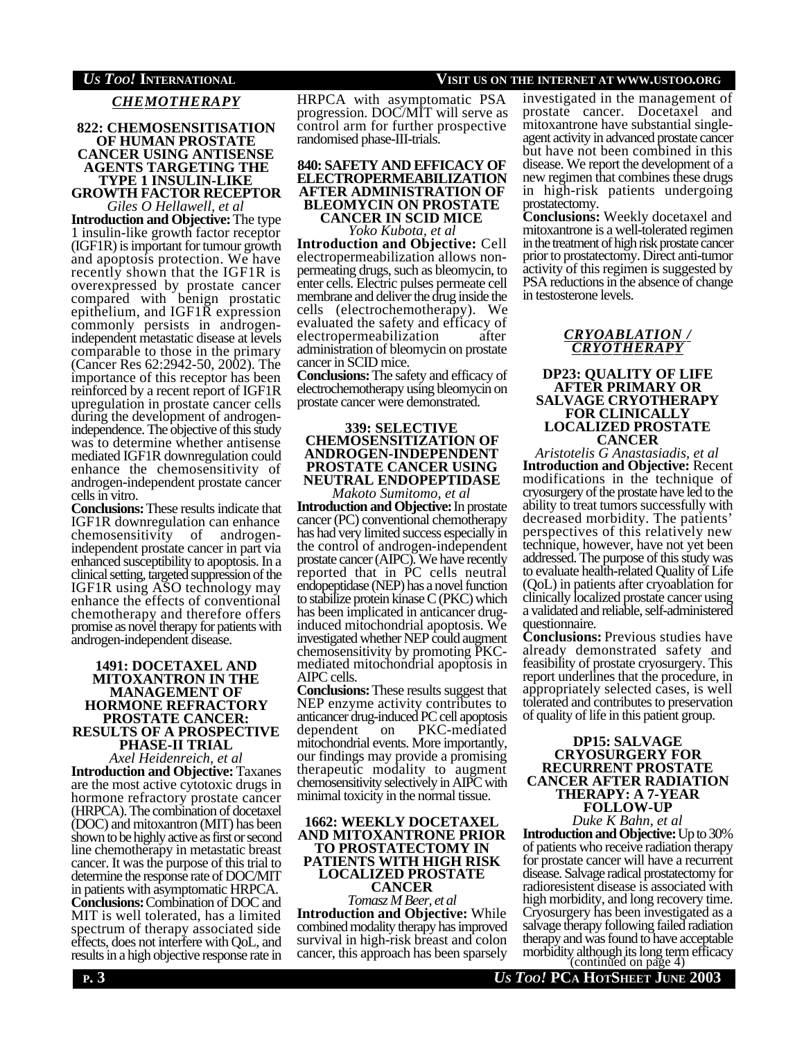## *US TOO!* **INTERNATIONAL VISIT US ON THE INTERNET AT WWW.USTOO.ORG**

*CHEMOTHERAPY*

## **822: CHEMOSENSITISATION OF HUMAN PROSTATE CANCER USING ANTISENSE AGENTS TARGETING THE TYPE 1 INSULIN-LIKE GROWTH FACTOR RECEPTOR**

*Giles O Hellawell, et al* **Introduction and Objective:** The type 1 insulin-like growth factor receptor (IGF1R) is important for tumour growth and apoptosis protection. We have recently shown that the IGF1R is overexpressed by prostate cancer compared with benign prostatic epithelium, and IGF1R expression commonly persists in androgenindependent metastatic disease at levels comparable to those in the primary (Cancer Res 62:2942-50, 2002). The importance of this receptor has been reinforced by a recent report of IGF1R upregulation in prostate cancer cells during the development of androgenindependence. The objective of this study was to determine whether antisense mediated IGF1R downregulation could enhance the chemosensitivity of androgen-independent prostate cancer cells in vitro.

**Conclusions:** These results indicate that IGF1R downregulation can enhance chemosensitivity of androgenindependent prostate cancer in part via enhanced susceptibility to apoptosis. In a clinical setting, targeted suppression of the IGF1R using ASO technology may enhance the effects of conventional chemotherapy and therefore offers promise as novel therapy for patients with androgen-independent disease.

### **1491: DOCETAXEL AND MITOXANTRON IN THE MANAGEMENT OF HORMONE REFRACTORY PROSTATE CANCER: RESULTS OF A PROSPECTIVE PHASE-II TRIAL**

*Axel Heidenreich, et al* **Introduction and Objective:** Taxanes are the most active cytotoxic drugs in hormone refractory prostate cancer (HRPCA). The combination of docetaxel (DOC) and mitoxantron (MIT) has been shown to be highly active as first or second line chemotherapy in metastatic breast cancer. It was the purpose of this trial to determine the response rate of DOC/MIT in patients with asymptomatic HRPCA. **Conclusions:** Combination of DOC and MIT is well tolerated, has a limited spectrum of therapy associated side effects, does not interfere with QoL, and results in a high objective response rate in HRPCA with asymptomatic PSA progression. DOC/MIT will serve as control arm for further prospective randomised phase-III-trials.

## **840: SAFETY AND EFFICACY OF ELECTROPERMEABILIZATION AFTER ADMINISTRATION OF BLEOMYCIN ON PROSTATE**

**CANCER IN SCID MICE** *Yoko Kubota, et al*

**Introduction and Objective:** Cell electropermeabilization allows nonpermeating drugs, such as bleomycin, to enter cells. Electric pulses permeate cell membrane and deliver the drug inside the cells (electrochemotherapy). We evaluated the safety and efficacy of electropermeabilization after administration of bleomycin on prostate cancer in SCID mice.

**Conclusions:** The safety and efficacy of electrochemotherapy using bleomycin on prostate cancer were demonstrated.

## **339: SELECTIVE CHEMOSENSITIZATION OF ANDROGEN-INDEPENDENT PROSTATE CANCER USING NEUTRAL ENDOPEPTIDASE**

*Makoto Sumitomo, et al* **Introduction and Objective:** In prostate cancer (PC) conventional chemotherapy has had very limited success especially in the control of androgen-independent prostate cancer (AIPC). We have recently reported that in PC cells neutral endopeptidase (NEP) has a novel function to stabilize protein kinase C (PKC) which has been implicated in anticancer druginduced mitochondrial apoptosis. We investigated whether NEP could augment chemosensitivity by promoting PKCmediated mitochondrial apoptosis in AIPC cells.

**Conclusions:** These results suggest that NEP enzyme activity contributes to anticancer drug-induced PC cell apoptosis dependent on PKC-mediated mitochondrial events. More importantly, our findings may provide a promising therapeutic modality to augment chemosensitivity selectively in AIPC with minimal toxicity in the normal tissue.

## **1662: WEEKLY DOCETAXEL AND MITOXANTRONE PRIOR TO PROSTATECTOMY IN PATIENTS WITH HIGH RISK LOCALIZED PROSTATE CANCER**

*Tomasz M Beer, et al* **Introduction and Objective:** While combined modality therapy has improved survival in high-risk breast and colon cancer, this approach has been sparsely investigated in the management of prostate cancer. Docetaxel and mitoxantrone have substantial singleagent activity in advanced prostate cancer but have not been combined in this disease. We report the development of a new regimen that combines these drugs in high-risk patients undergoing prostatectomy.

**Conclusions:** Weekly docetaxel and mitoxantrone is a well-tolerated regimen in the treatment of high risk prostate cancer prior to prostatectomy. Direct anti-tumor activity of this regimen is suggested by PSA reductions in the absence of change in testosterone levels.

## *CRYOABLATION / CRYOTHERAPY*

## **DP23: QUALITY OF LIFE AFTER PRIMARY OR SALVAGE CRYOTHERAPY FOR CLINICALLY LOCALIZED PROSTATE CANCER**

*Aristotelis G Anastasiadis, et al* **Introduction and Objective:** Recent modifications in the technique of cryosurgery of the prostate have led to the ability to treat tumors successfully with decreased morbidity. The patients' perspectives of this relatively new technique, however, have not yet been addressed. The purpose of this study was to evaluate health-related Quality of Life (QoL) in patients after cryoablation for clinically localized prostate cancer using a validated and reliable, self-administered questionnaire.

**Conclusions:** Previous studies have already demonstrated safety and feasibility of prostate cryosurgery. This report underlines that the procedure, in appropriately selected cases, is well tolerated and contributes to preservation of quality of life in this patient group.

## **DP15: SALVAGE CRYOSURGERY FOR RECURRENT PROSTATE CANCER AFTER RADIATION THERAPY: A 7-YEAR FOLLOW-UP**

*Duke K Bahn, et al* **Introduction and Objective:** Up to 30% of patients who receive radiation therapy for prostate cancer will have a recurrent disease. Salvage radical prostatectomy for radioresistent disease is associated with high morbidity, and long recovery time. Cryosurgery has been investigated as a salvage therapy following failed radiation therapy and was found to have acceptable morbidity although its long term efficacy (continued on page 4)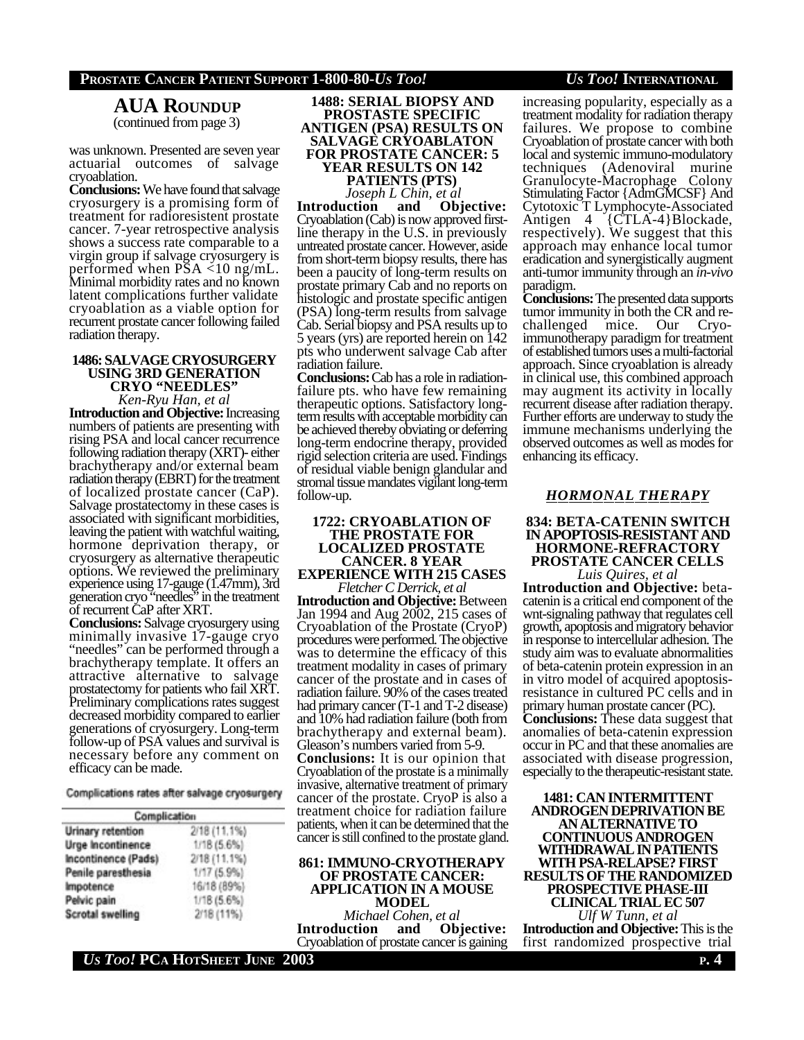**AUA ROUNDUP** (continued from page 3)

was unknown. Presented are seven year actuarial outcomes of salvage cryoablation.

**Conclusions:** We have found that salvage cryosurgery is a promising form of treatment for radioresistent prostate cancer. 7-year retrospective analysis shows a success rate comparable to a virgin group if salvage cryosurgery is performed when PSA <10 ng/mL. Minimal morbidity rates and no known latent complications further validate cryoablation as a viable option for recurrent prostate cancer following failed radiation therapy.

## **1486: SALVAGE CRYOSURGERY USING 3RD GENERATION CRYO "NEEDLES"**

*Ken-Ryu Han, et al*

**Introduction and Objective:** Increasing numbers of patients are presenting with rising PSA and local cancer recurrence following radiation therapy (XRT)- either brachytherapy and/or external beam radiation therapy (EBRT) for the treatment of localized prostate cancer (CaP). Salvage prostatectomy in these cases is associated with significant morbidities, leaving the patient with watchful waiting, hormone deprivation therapy, or cryosurgery as alternative therapeutic options. We reviewed the preliminary experience using 17-gauge (1.47mm), 3rd generation cryo "needles" in the treatment of recurrent CaP after XRT.

**Conclusions:** Salvage cryosurgery using minimally invasive 17-gauge cryo "needles" can be performed through a brachytherapy template. It offers an attractive alternative to salvage prostatectomy for patients who fail XRT. Preliminary complications rates suggest decreased morbidity compared to earlier generations of cryosurgery. Long-term follow-up of PSA values and survival is necessary before any comment on efficacy can be made.

Complications rates after salvage cryosurgery

| Complication            |               |  |  |  |
|-------------------------|---------------|--|--|--|
| Urinary retention       | 2/18 (11.1%)  |  |  |  |
| Urge Incontinence       | $1/18(5.6\%)$ |  |  |  |
| Incontinence (Pads)     | 2/18(11.1%)   |  |  |  |
| Penile paresthesia      | 1/17(5.9%     |  |  |  |
| Impotence               | 16/18 (89%)   |  |  |  |
| Pelvic pain             | $1/18(5.6\%)$ |  |  |  |
| <b>Scrotal swelling</b> | 2/18 (11%)    |  |  |  |

**1488: SERIAL BIOPSY AND PROSTASTE SPECIFIC ANTIGEN (PSA) RESULTS ON SALVAGE CRYOABLATON FOR PROSTATE CANCER: 5 YEAR RESULTS ON 142 PATIENTS (PTS)**

*Joseph L Chin, et al*

**Introduction** Cryoablation (Cab) is now approved firstline therapy in the U.S. in previously untreated prostate cancer. However, aside from short-term biopsy results, there has been a paucity of long-term results on prostate primary Cab and no reports on histologic and prostate specific antigen (PSA) long-term results from salvage Cab. Serial biopsy and PSA results up to 5 years (yrs) are reported herein on 142 pts who underwent salvage Cab after radiation failure.

**Conclusions:** Cab has a role in radiationfailure pts. who have few remaining therapeutic options. Satisfactory longterm results with acceptable morbidity can be achieved thereby obviating or deferring long-term endocrine therapy, provided rigid selection criteria are used. Findings of residual viable benign glandular and stromal tissue mandates vigilant long-term follow-up.

#### **1722: CRYOABLATION OF THE PROSTATE FOR LOCALIZED PROSTATE CANCER. 8 YEAR EXPERIENCE WITH 215 CASES** *Fletcher C Derrick, et al*

**Introduction and Objective:** Between Jan 1994 and Aug 2002, 215 cases of Cryoablation of the Prostate (CryoP) procedures were performed. The objective was to determine the efficacy of this treatment modality in cases of primary cancer of the prostate and in cases of radiation failure. 90% of the cases treated had primary cancer (T-1 and T-2 disease) and 10% had radiation failure (both from brachytherapy and external beam). Gleason's numbers varied from 5-9. **Conclusions:** It is our opinion that Cryoablation of the prostate is a minimally

invasive, alternative treatment of primary cancer of the prostate. CryoP is also a treatment choice for radiation failure patients, when it can be determined that the cancer is still confined to the prostate gland.

## **861: IMMUNO-CRYOTHERAPY OF PROSTATE CANCER: APPLICATION IN A MOUSE MODEL**

*Michael Cohen, et al* **Introduction** Cryoablation of prostate cancer is gaining

increasing popularity, especially as a treatment modality for radiation therapy failures. We propose to combine Cryoablation of prostate cancer with both local and systemic immuno-modulatory techniques (Adenoviral murine Granulocyte-Macrophage Colony Stimulating Factor {AdmGMCSF} And Cytotoxic T Lymphocyte-Associated Antigen 4 {CTLA-4}Blockade, respectively). We suggest that this approach may enhance local tumor eradication and synergistically augment anti-tumor immunity through an *in-vivo* paradigm.

**Conclusions:** The presented data supports tumor immunity in both the CR and rechallenged mice. Our Cryoimmunotherapy paradigm for treatment of established tumors uses a multi-factorial approach. Since cryoablation is already in clinical use, this combined approach may augment its activity in locally recurrent disease after radiation therapy. Further efforts are underway to study the immune mechanisms underlying the observed outcomes as well as modes for enhancing its efficacy.

## *HORMONAL THERAPY*

## **834: BETA-CATENIN SWITCH IN APOPTOSIS-RESISTANT AND HORMONE-REFRACTORY PROSTATE CANCER CELLS**

*Luis Quires, et al* **Introduction and Objective:** betacatenin is a critical end component of the wnt-signaling pathway that regulates cell growth, apoptosis and migratory behavior in response to intercellular adhesion. The study aim was to evaluate abnormalities of beta-catenin protein expression in an in vitro model of acquired apoptosisresistance in cultured PC cells and in primary human prostate cancer (PC). **Conclusions:** These data suggest that anomalies of beta-catenin expression occur in PC and that these anomalies are associated with disease progression, especially to the therapeutic-resistant state.

**1481: CAN INTERMITTENT ANDROGEN DEPRIVATION BE AN ALTERNATIVE TO CONTINUOUS ANDROGEN WITHDRAWAL IN PATIENTS WITH PSA-RELAPSE? FIRST RESULTS OF THE RANDOMIZED PROSPECTIVE PHASE-III CLINICAL TRIAL EC 507** *Ulf W Tunn, et al*

**Introduction and Objective:** This is the first randomized prospective trial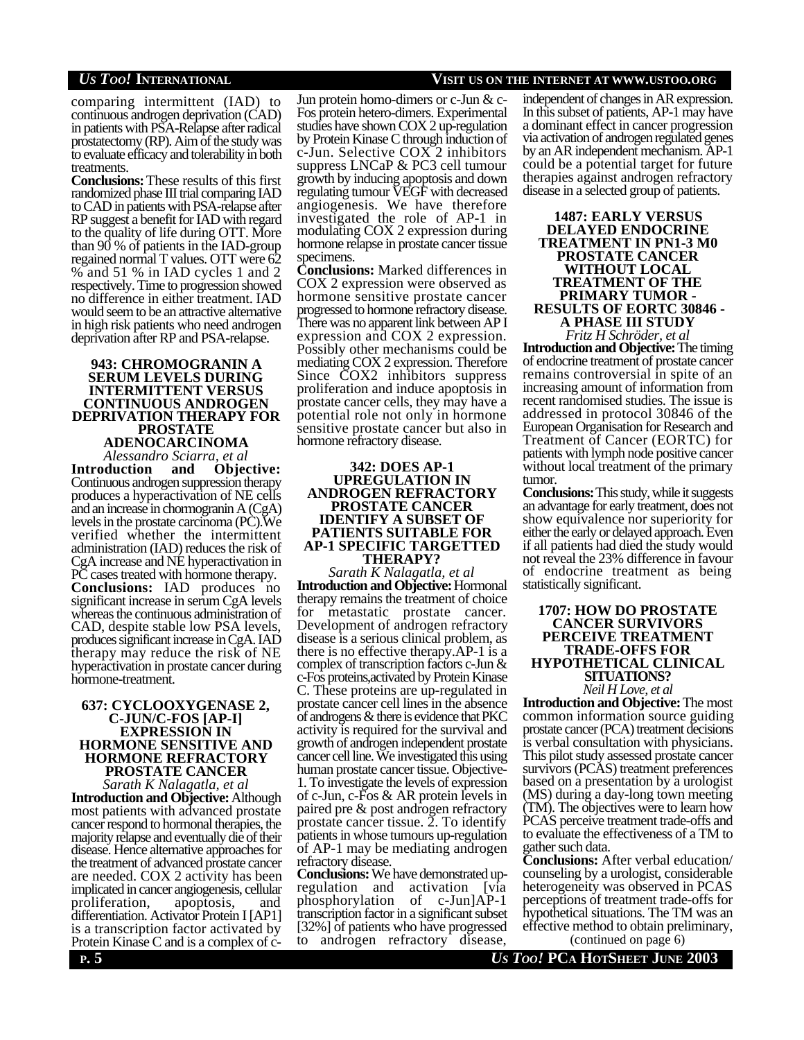comparing intermittent (IAD) to continuous androgen deprivation (CAD) in patients with PSA-Relapse after radical prostatectomy (RP). Aim of the study was to evaluate efficacy and tolerability in both treatments.

**Conclusions:** These results of this first randomized phase III trial comparing IAD to CAD in patients with PSA-relapse after RP suggest a benefit for IAD with regard to the quality of life during OTT. More than 90 % of patients in the IAD-group regained normal T values. OTT were 62 % and 51 % in IAD cycles 1 and 2 respectively. Time to progression showed no difference in either treatment. IAD would seem to be an attractive alternative in high risk patients who need androgen deprivation after RP and PSA-relapse.

## **943: CHROMOGRANIN A SERUM LEVELS DURING INTERMITTENT VERSUS CONTINUOUS ANDROGEN DEPRIVATION THERAPY FOR PROSTATE**

**ADENOCARCINOMA** *Alessandro Sciarra, et al*

**Introduction and Objective:** Continuous androgen suppression therapy produces a hyperactivation of NE cells and an increase in chormogranin A (CgA) levels in the prostate carcinoma (PC).We verified whether the intermittent administration (IAD) reduces the risk of CgA increase and NE hyperactivation in PC cases treated with hormone therapy. **Conclusions:** IAD produces no significant increase in serum CgA levels whereas the continuous administration of CAD, despite stable low PSA levels, produces significant increase in CgA. IAD therapy may reduce the risk of NE hyperactivation in prostate cancer during hormone-treatment.

## **637: CYCLOOXYGENASE 2, C-JUN/C-FOS [AP-I] EXPRESSION IN HORMONE SENSITIVE AND HORMONE REFRACTORY PROSTATE CANCER**

*Sarath K Nalagatla, et al* **Introduction and Objective:** Although most patients with advanced prostate cancer respond to hormonal therapies, the majority relapse and eventually die of their disease. Hence alternative approaches for the treatment of advanced prostate cancer are needed. COX 2 activity has been implicated in cancer angiogenesis, cellular proliferation, apoptosis, and differentiation. Activator Protein I [AP1] is a transcription factor activated by Protein Kinase C and is a complex of c-

Jun protein homo-dimers or c-Jun & c-Fos protein hetero-dimers. Experimental studies have shown COX 2 up-regulation by Protein Kinase C through induction of c-Jun. Selective COX 2 inhibitors suppress LNCaP & PC3 cell tumour growth by inducing apoptosis and down regulating tumour VEGF with decreased angiogenesis. We have therefore investigated the role of AP-1 in modulating COX 2 expression during hormone relapse in prostate cancer tissue specimens.

**Conclusions:** Marked differences in COX 2 expression were observed as hormone sensitive prostate cancer progressed to hormone refractory disease. There was no apparent link between AP I expression and COX 2 expression. Possibly other mechanisms could be mediating COX 2 expression. Therefore Since COX2 inhibitors suppress proliferation and induce apoptosis in prostate cancer cells, they may have a potential role not only in hormone sensitive prostate cancer but also in hormone refractory disease.

## **342: DOES AP-1 UPREGULATION IN ANDROGEN REFRACTORY PROSTATE CANCER IDENTIFY A SUBSET OF PATIENTS SUITABLE FOR AP-1 SPECIFIC TARGETTED THERAPY?**

*Sarath K Nalagatla, et al* **Introduction and Objective:** Hormonal therapy remains the treatment of choice for metastatic prostate cancer. Development of androgen refractory disease is a serious clinical problem, as there is no effective therapy.AP-1 is a complex of transcription factors c-Jun & c-Fos proteins,activated by Protein Kinase C. These proteins are up-regulated in prostate cancer cell lines in the absence of androgens & there is evidence that PKC activity is required for the survival and growth of androgen independent prostate cancer cell line. We investigated this using human prostate cancer tissue. Objective-1. To investigate the levels of expression of c-Jun, c-Fos & AR protein levels in paired pre & post androgen refractory prostate cancer tissue. 2. To identify patients in whose tumours up-regulation of AP-1 may be mediating androgen refractory disease.

**Conclusions:** We have demonstrated upregulation and activation [via phosphorylation of c-Jun]AP-1 transcription factor in a significant subset [32%] of patients who have progressed to androgen refractory disease,

## *US TOO!* **INTERNATIONAL VISIT US ON THE INTERNET AT WWW.USTOO.ORG**

independent of changes in AR expression. In this subset of patients, AP-1 may have a dominant effect in cancer progression via activation of androgen regulated genes by an AR independent mechanism. AP-1 could be a potential target for future therapies against androgen refractory disease in a selected group of patients.

## **1487: EARLY VERSUS DELAYED ENDOCRINE TREATMENT IN PN1-3 M0 PROSTATE CANCER WITHOUT LOCAL TREATMENT OF THE PRIMARY TUMOR - RESULTS OF EORTC 30846 - A PHASE III STUDY**

*Fritz H Schröder, et al* **Introduction and Objective:** The timing of endocrine treatment of prostate cancer remains controversial in spite of an increasing amount of information from recent randomised studies. The issue is addressed in protocol 30846 of the European Organisation for Research and Treatment of Cancer (EORTC) for patients with lymph node positive cancer without local treatment of the primary tumor.

**Conclusions:** This study, while it suggests an advantage for early treatment, does not show equivalence nor superiority for either the early or delayed approach. Even if all patients had died the study would not reveal the 23% difference in favour of endocrine treatment as being statistically significant.

## **1707: HOW DO PROSTATE CANCER SURVIVORS PERCEIVE TREATMENT TRADE-OFFS FOR HYPOTHETICAL CLINICAL SITUATIONS?** *Neil H Love, et al*

**Introduction and Objective:** The most common information source guiding prostate cancer (PCA) treatment decisions is verbal consultation with physicians. This pilot study assessed prostate cancer survivors (PCAS) treatment preferences based on a presentation by a urologist (MS) during a day-long town meeting (TM). The objectives were to learn how PCAS perceive treatment trade-offs and to evaluate the effectiveness of a TM to gather such data.

**Conclusions:** After verbal education/ counseling by a urologist, considerable heterogeneity was observed in PCAS perceptions of treatment trade-offs for hypothetical situations. The TM was an effective method to obtain preliminary,

(continued on page 6)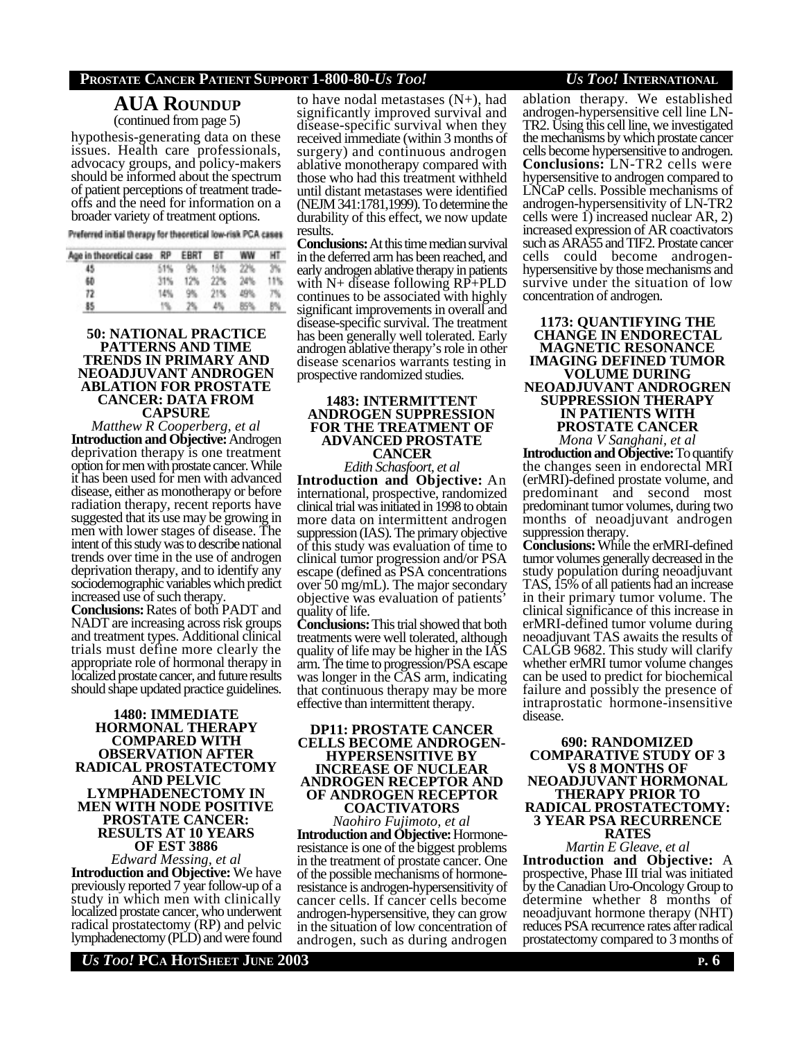## **AUA ROUNDUP** (continued from page 5)

hypothesis-generating data on these issues. Health care professionals, advocacy groups, and policy-makers should be informed about the spectrum of patient perceptions of treatment tradeoffs and the need for information on a broader variety of treatment options.

Preferred initial therapy for theoretical low-risk PCA cases

| Age in theoretical case RP | EBRT | BТ |  |
|----------------------------|------|----|--|
|                            |      |    |  |
|                            |      |    |  |
|                            |      |    |  |
|                            |      |    |  |

## **50: NATIONAL PRACTICE PATTERNS AND TIME TRENDS IN PRIMARY AND NEOADJUVANT ANDROGEN ABLATION FOR PROSTATE CANCER: DATA FROM CAPSURE**

*Matthew R Cooperberg, et al* **Introduction and Objective:** Androgen deprivation therapy is one treatment option for men with prostate cancer. While it has been used for men with advanced disease, either as monotherapy or before radiation therapy, recent reports have suggested that its use may be growing in men with lower stages of disease. The intent of this study was to describe national trends over time in the use of androgen deprivation therapy, and to identify any sociodemographic variables which predict increased use of such therapy.

**Conclusions:** Rates of both PADT and NADT are increasing across risk groups and treatment types. Additional clinical trials must define more clearly the appropriate role of hormonal therapy in localized prostate cancer, and future results should shape updated practice guidelines.

## **1480: IMMEDIATE HORMONAL THERAPY COMPARED WITH OBSERVATION AFTER RADICAL PROSTATECTOMY AND PELVIC LYMPHADENECTOMY IN MEN WITH NODE POSITIVE PROSTATE CANCER: RESULTS AT 10 YEARS OF EST 3886**

*Edward Messing, et al* **Introduction and Objective:** We have previously reported 7 year follow-up of a study in which men with clinically localized prostate cancer, who underwent radical prostatectomy (RP) and pelvic lymphadenectomy (PLD) and were found to have nodal metastases  $(N+)$ , had significantly improved survival and disease-specific survival when they received immediate (within 3 months of surgery) and continuous androgen ablative monotherapy compared with those who had this treatment withheld until distant metastases were identified (NEJM 341:1781,1999). To determine the durability of this effect, we now update results.

**Conclusions:** At this time median survival in the deferred arm has been reached, and early androgen ablative therapy in patients with N+ disease following RP+PLD continues to be associated with highly significant improvements in overall and disease-specific survival. The treatment has been generally well tolerated. Early androgen ablative therapy's role in other disease scenarios warrants testing in prospective randomized studies.

## **1483: INTERMITTENT ANDROGEN SUPPRESSION FOR THE TREATMENT OF ADVANCED PROSTATE CANCER**

*Edith Schasfoort, et al* **Introduction and Objective:** An international, prospective, randomized clinical trial was initiated in 1998 to obtain more data on intermittent androgen suppression (IAS). The primary objective of this study was evaluation of time to clinical tumor progression and/or PSA escape (defined as PSA concentrations over 50 mg/mL). The major secondary objective was evaluation of patients' quality of life.

**Conclusions:** This trial showed that both treatments were well tolerated, although quality of life may be higher in the IAS arm. The time to progression/PSA escape was longer in the CAS arm, indicating that continuous therapy may be more effective than intermittent therapy.

## **DP11: PROSTATE CANCER CELLS BECOME ANDROGEN-HYPERSENSITIVE BY INCREASE OF NUCLEAR ANDROGEN RECEPTOR AND OF ANDROGEN RECEPTOR COACTIVATORS**

*Naohiro Fujimoto, et al* **Introduction and Objective:** Hormoneresistance is one of the biggest problems in the treatment of prostate cancer. One of the possible mechanisms of hormoneresistance is androgen-hypersensitivity of cancer cells. If cancer cells become androgen-hypersensitive, they can grow in the situation of low concentration of androgen, such as during androgen

## ablation therapy. We established androgen-hypersensitive cell line LN-TR2. Using this cell line, we investigated the mechanisms by which prostate cancer cells become hypersensitive to androgen. **Conclusions:** LN-TR2 cells were hypersensitive to androgen compared to LNCaP cells. Possible mechanisms of androgen-hypersensitivity of LN-TR2 cells were 1) increased nuclear AR, 2) increased expression of AR coactivators such as ARA55 and TIF2. Prostate cancer cells could become androgenhypersensitive by those mechanisms and survive under the situation of low

**1173: QUANTIFYING THE CHANGE IN ENDORECTAL MAGNETIC RESONANCE IMAGING DEFINED TUMOR VOLUME DURING NEOADJUVANT ANDROGREN SUPPRESSION THERAPY IN PATIENTS WITH PROSTATE CANCER** *Mona V Sanghani, et al*

concentration of androgen.

**Introduction and Objective:** To quantify the changes seen in endorectal MRI (erMRI)-defined prostate volume, and predominant and second most predominant tumor volumes, during two months of neoadjuvant androgen suppression therapy.

**Conclusions:** While the erMRI-defined tumor volumes generally decreased in the study population during neoadjuvant TAS, 15% of all patients had an increase in their primary tumor volume. The clinical significance of this increase in erMRI-defined tumor volume during neoadjuvant TAS awaits the results of CALGB 9682. This study will clarify whether erMRI tumor volume changes can be used to predict for biochemical failure and possibly the presence of intraprostatic hormone-insensitive disease.

#### **690: RANDOMIZED COMPARATIVE STUDY OF 3 VS 8 MONTHS OF NEOADJUVANT HORMONAL THERAPY PRIOR TO RADICAL PROSTATECTOMY: 3 YEAR PSA RECURRENCE RATES**

*Martin E Gleave, et al* **Introduction and Objective:** A prospective, Phase III trial was initiated by the Canadian Uro-Oncology Group to determine whether 8 months of neoadjuvant hormone therapy (NHT) reduces PSA recurrence rates after radical prostatectomy compared to 3 months of

*US TOO!* **PCA HOTSHEET JUNE 2003 P. 6**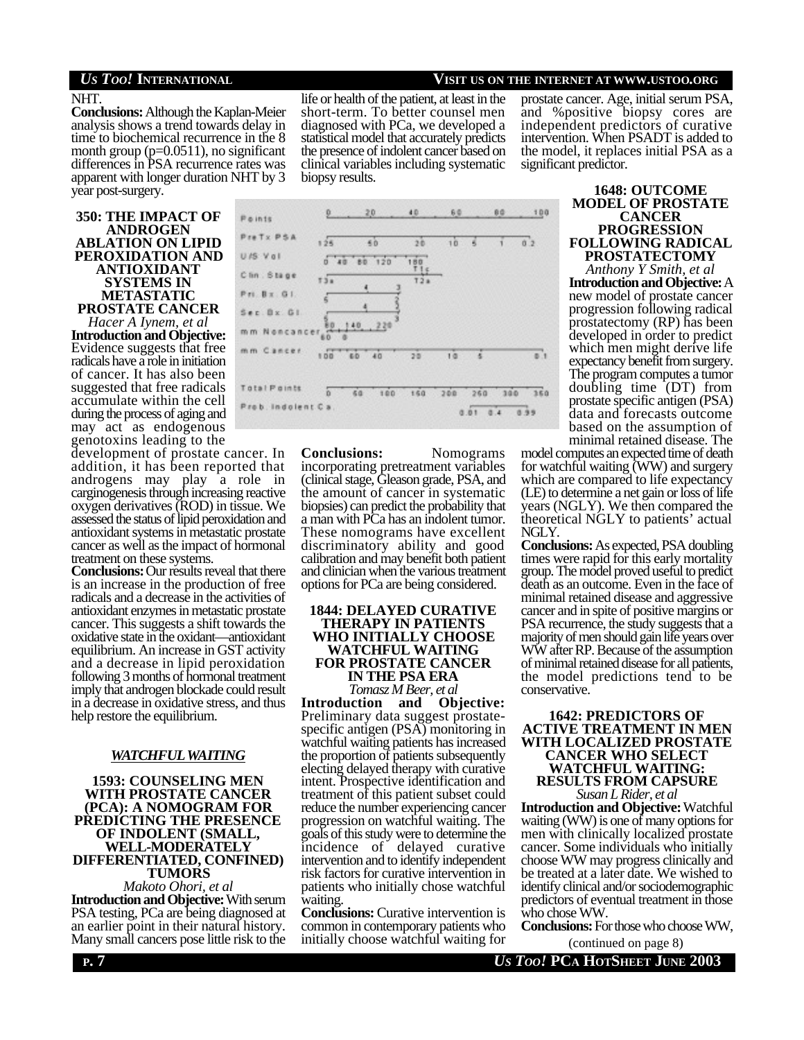## NHT.

**Conclusions:** Although the Kaplan-Meier analysis shows a trend towards delay in time to biochemical recurrence in the 8 month group  $(p=0.0511)$ , no significant differences in PSA recurrence rates was apparent with longer duration NHT by 3 year post-surgery.

## **350: THE IMPACT OF ANDROGEN ABLATION ON LIPID PEROXIDATION AND ANTIOXIDANT SYSTEMS IN METASTATIC PROSTATE CANCER**

*Hacer A Iynem, et al* **Introduction and Objective:** Evidence suggests that free radicals have a role in initiation of cancer. It has also been suggested that free radicals accumulate within the cell during the process of aging and may act as endogenous genotoxins leading to the

development of prostate cancer. In addition, it has been reported that androgens may play a role in carginogenesis through increasing reactive oxygen derivatives (ROD) in tissue. We assessed the status of lipid peroxidation and antioxidant systems in metastatic prostate cancer as well as the impact of hormonal treatment on these systems.

**Conclusions:** Our results reveal that there is an increase in the production of free radicals and a decrease in the activities of antioxidant enzymes in metastatic prostate cancer. This suggests a shift towards the oxidative state in the oxidant—antioxidant equilibrium. An increase in GST activity and a decrease in lipid peroxidation following 3 months of hormonal treatment imply that androgen blockade could result in a decrease in oxidative stress, and thus help restore the equilibrium.

## *WATCHFULWAITING*

## **1593: COUNSELING MEN WITH PROSTATE CANCER (PCA): A NOMOGRAM FOR PREDICTING THE PRESENCE OF INDOLENT (SMALL, WELL-MODERATELY DIFFERENTIATED, CONFINED) TUMORS**

*Makoto Ohori, et al* **Introduction and Objective:** With serum PSA testing, PCa are being diagnosed at an earlier point in their natural history. Many small cancers pose little risk to the

## life or health of the patient, at least in the short-term. To better counsel men diagnosed with PCa, we developed a statistical model that accurately predicts the presence of indolent cancer based on clinical variables including systematic biopsy results.

## *US TOO!* **INTERNATIONAL VISIT US ON THE INTERNET AT WWW.USTOO.ORG**

prostate cancer. Age, initial serum PSA, and %positive biopsy cores are independent predictors of curative intervention. When PSADT is added to the model, it replaces initial PSA as a significant predictor.



**Conclusions:** Nomograms incorporating pretreatment variables (clinical stage, Gleason grade, PSA, and the amount of cancer in systematic biopsies) can predict the probability that a man with PCa has an indolent tumor. These nomograms have excellent discriminatory ability and good calibration and may benefit both patient and clinician when the various treatment options for PCa are being considered.

## **1844: DELAYED CURATIVE THERAPY IN PATIENTS WHO INITIALLY CHOOSE WATCHFUL WAITING FOR PROSTATE CANCER IN THE PSA ERA** *Tomasz M Beer, et al*

**Introduction and Objective:** Preliminary data suggest prostatespecific antigen (PSA) monitoring in watchful waiting patients has increased the proportion of patients subsequently electing delayed therapy with curative intent. Prospective identification and treatment of this patient subset could reduce the number experiencing cancer progression on watchful waiting. The goals of this study were to determine the incidence of delayed curative intervention and to identify independent risk factors for curative intervention in patients who initially chose watchful waiting.

**Conclusions:** Curative intervention is common in contemporary patients who initially choose watchful waiting for

**1648: OUTCOME MODEL OF PROSTATE CANCER PROGRESSION FOLLOWING RADICAL PROSTATECTOMY**

*Anthony Y Smith, et al* **Introduction and Objective:** A new model of prostate cancer progression following radical prostatectomy (RP) has been developed in order to predict which men might derive life expectancy benefit from surgery. The program computes a tumor doubling time (DT) from prostate specific antigen (PSA) data and forecasts outcome based on the assumption of minimal retained disease. The

model computes an expected time of death for watchful waiting (WW) and surgery which are compared to life expectancy (LE) to determine a net gain or loss of life years (NGLY). We then compared the theoretical NGLY to patients' actual NGLY.

**Conclusions:** As expected, PSA doubling times were rapid for this early mortality group. The model proved useful to predict death as an outcome. Even in the face of minimal retained disease and aggressive cancer and in spite of positive margins or PSA recurrence, the study suggests that a majority of men should gain life years over WW after RP. Because of the assumption of minimal retained disease for all patients, the model predictions tend to be conservative.

## **1642: PREDICTORS OF ACTIVE TREATMENT IN MEN WITH LOCALIZED PROSTATE CANCER WHO SELECT WATCHFUL WAITING: RESULTS FROM CAPSURE** *Susan L Rider, et al*

**Introduction and Objective:** Watchful waiting (WW) is one of many options for men with clinically localized prostate cancer. Some individuals who initially choose WW may progress clinically and be treated at a later date. We wished to identify clinical and/or sociodemographic predictors of eventual treatment in those who chose WW.

**Conclusions:** For those who choose WW,

(continued on page 8)